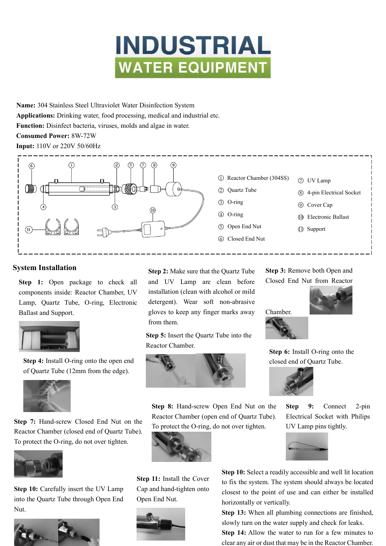

**Name:** 304 Stainless Steel Ultraviolet Water Disinfection System **Applications:** Drinking water, food processing, medical and industrial etc. **Function:** Disinfect bacteria, viruses, molds and algae in water. **Consumed Power:** 8W-72W **Input:** 110V or 220V 50/60Hz



#### **System Installation**

**Step 1:** Open package to check all components inside: Reactor Chamber, UV Lamp, Quartz Tube, O-ring, Electronic Ballast and Support.



**Step 4:** Install O-ring onto the open end of Quartz Tube (12mm from the edge).



**Step 7:** Hand-screw Closed End Nut on the Reactor Chamber (closed end of Quartz Tube). To protect the O-ring, do not over tighten.



**Step 10:** Carefully insert the UV Lamp into the Quartz Tube through Open End Nut.



**Step 2:** Make sure that the Quartz Tube and UV Lamp are clean before installation (clean with alcohol or mild detergent). Wear soft non-abrasive gloves to keep any finger marks away from them.

**Step 5:** Insert the Quartz Tube into the Reactor Chamber.



**Step 8:** Hand-screw Open End Nut on the Reactor Chamber (open end of Quartz Tube). To protect the O-ring, do not over tighten.



**Step 11:** Install the Cover Cap and hand-tighten onto Open End Nut.



**Step 3:** Remove both Open and

Closed End Nut from Reactor





Step 6: Install O-ring onto the closed end of Quartz Tube.



**Step 9:** Connect 2-pin Electrical Socket with Philips UV Lamp pins tightly.



**Step 10:** Select a readily accessible and well lit location to fix the system. The system should always be located closest to the point of use and can either be installed horizontally or vertically.

**Step 13:** When all plumbing connections are finished, slowly turn on the water supply and check for leaks.

**Step 14:** Allow the water to run for a few minutes to clear any air or dust that may be in the Reactor Chamber.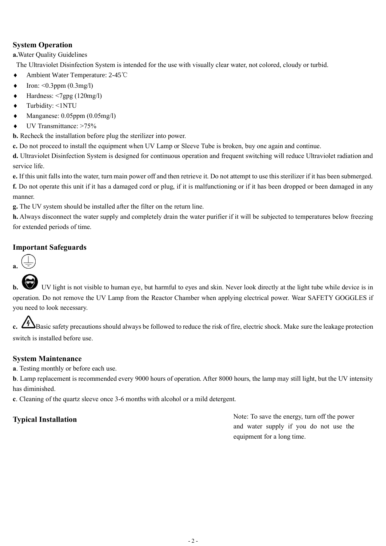# **System Operation**

**a.**Water Quality Guidelines

The Ultraviolet Disinfection System is intended for the use with visually clear water, not colored, cloudy or turbid.

- Ambient Water Temperature: 2-45℃
- Iron: <0.3ppm (0.3mg/l)
- Hardness: <7gpg (120mg/l)
- Turbidity: <1NTU
- Manganese: 0.05ppm (0.05mg/l)
- ◆ UV Transmittance: >75%

**b.** Recheck the installation before plug the sterilizer into power.

**c.** Do not proceed to install the equipment when UV Lamp or Sleeve Tube is broken, buy one again and continue.

**d.** Ultraviolet Disinfection System is designed for continuous operation and frequent switching will reduce Ultraviolet radiation and service life.

**e.** If this unit falls into the water, turn main power off and then retrieve it. Do not attempt to use this sterilizer if it has been submerged.

**f.** Do not operate this unit if it has a damaged cord or plug, if it is malfunctioning or if it has been dropped or been damaged in any manner.

**g.** The UV system should be installed after the filter on the return line.

**h.** Always disconnect the water supply and completely drain the water purifier if it will be subjected to temperatures below freezing for extended periods of time.

## **Important Safeguards**



**b.** UV light is not visible to human eye, but harmful to eyes and skin. Never look directly at the light tube while device is in operation. Do not remove the UV Lamp from the Reactor Chamber when applying electrical power. Wear SAFETY GOGGLES if you need to look necessary.

**Basic safety precautions should always be followed to reduce the risk of fire, electric shock. Make sure the leakage protection** switch is installed before use.

## **System Maintenance**

**a**. Testing monthly or before each use.

**b**. Lamp replacement is recommended every 9000 hours of operation. After 8000 hours, the lamp may still light, but the UV intensity has diminished.

**c**. Cleaning of the quartz sleeve once 3-6 months with alcohol or a mild detergent.

**Typical Installation** Note: To save the energy, turn off the power and water supply if you do not use the equipment for a long time.